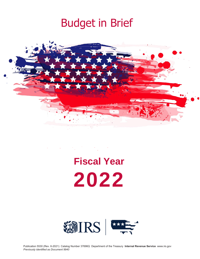



# **Fiscal Year 2022**

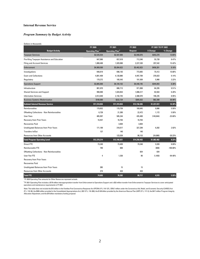## **Internal Revenue Service**

## *Program Summary by Budget Activity*

| Dollars in thousands                         |                                   |                                   |                |                    |             |  |
|----------------------------------------------|-----------------------------------|-----------------------------------|----------------|--------------------|-------------|--|
|                                              | FY 2020                           | FY 2021                           | FY 2022        | FY 2021 TO FY 2022 |             |  |
| <b>Budget Activity</b>                       | <b>Operating Plan<sup>1</sup></b> | <b>Operating Plan<sup>2</sup></b> | <b>Request</b> | \$ Change          | % Change    |  |
| <b>Taxpayer Services</b>                     | \$2,535,554                       | \$2,587,606                       | \$2,940,876    | \$353,270          | 13.65%      |  |
| Pre-filing Taxpayer Assistance and Education | 647,066                           | 657,618                           | 713,346        | 55,728             | 8.47%       |  |
| <b>Filing and Account Services</b>           | 1,888,488                         | 1,929,988                         | 2,227,530      | 297,542            | 15.42%      |  |
| Enforcement                                  | \$4,909,500                       | \$5,004,622                       | \$5,462,823    | \$458,201          | 9.16%       |  |
| Investigations                               | 648,819                           | 698,193                           | 773,605        | 75,412             | 10.80%      |  |
| <b>Exam and Collections</b>                  | 4,081,409                         | 4,120,886                         | 4,497,709      | 376,823            | 9.14%       |  |
| Regulatory                                   | 179,272                           | 185,543                           | 191,509        | 5,966              | 3.22%       |  |
| <b>Operations Support</b>                    | \$3,885,000                       | \$4,104,102                       | \$4,448,195    | \$344,093          | 8.38%       |  |
| Infrastructure                               | 881,670                           | 886,713                           | 971,008        | 84,295             | 9.51%       |  |
| <b>Shared Services and Support</b>           | 990,690                           | 1,024,654                         | 1,088,217      | 63,563             | 6.20%       |  |
| <b>Information Services</b>                  | 2,012,640                         | 2,192,735                         | 2,388,970      | 196,235            | 8.95%       |  |
| <b>Business Systems Modernization</b>        | \$180,000                         | \$222,724                         | \$305,032      | \$82,308           | 36.96%      |  |
| <b>Subtotal Internal Revenue Service</b>     | \$11,510,054                      | \$11,919,054                      | \$13,156,926   | \$1,237,872        | 10.39%      |  |
| Reimbursables                                | 179,652                           | 179,759                           | 189.645        | 9,886              | 5.50%       |  |
| Offsetting Collections - Non Reimbursables   | 6,728                             | 21,300                            | 22,472         | 1,172              | 5.50%       |  |
| <b>User Fees</b>                             | 485,997                           | 585,244                           | 435,400        | (149, 844)         | $-25.60%$   |  |
| <b>Recovery from Prior Years</b>             | 16,457                            | 16,764                            | 16,764         |                    |             |  |
| <b>Recoveries Paid</b>                       |                                   | 3,604                             | 3,604          |                    |             |  |
| Unobligated Balances from Prior Years        | 171,189                           | 318,017                           | 327,299        | 9,282              | 2.92%       |  |
| Transfers In/Out                             | 137                               | 140                               | 140            |                    |             |  |
| <b>Resources from Other Accounts</b>         |                                   | 123,039                           | 98,153         | (24, 886)          | $-20.23%$   |  |
| <b>Total Program Operating Level</b>         | \$12,370,214                      | \$13,166,921                      | \$14,250,403   | \$1,083,482        | 8.23%       |  |
| <b>Direct FTE</b>                            | 73,240                            | 73,409                            | 79,348         | 5,939              | 8.09%       |  |
| Reimbursable FTE                             | 790                               | 808                               |                | (808)              | $-100.00\%$ |  |
| Offsetting Collections - Non Reimbursables   |                                   |                                   | 834            | 834                |             |  |
| User Fee FTE                                 | $\overline{4}$                    | 1,536                             | 86             | (1,450)            | $-94.40%$   |  |
| <b>Recovery from Prior Years</b>             |                                   |                                   |                |                    |             |  |
| <b>Recoveries Paid</b>                       |                                   |                                   |                |                    |             |  |
| <b>Unobligated Balances from Prior Years</b> | 385                               | 15                                | 15             |                    |             |  |
| <b>Resources from Other Accounts</b>         | 274                               | 434                               | 434            |                    |             |  |
| <b>Total FTE</b>                             | 74,693                            | 76,202                            | 80,717         | 4,515              | 5.93%       |  |

<sup>1</sup> FY 2020 Operating Plan amounts for Other Resources represent actuals.

 $2$ FY 2021 Operating Plan includes a \$176 million interappropriation transfer from Enforcement to Operations Support and a \$32 million transfer from Enforcement to Taxpayer Services to cover anticipated operations and maintenance requirements in FY 2021.

Note: This table does not include the \$15 million in the Families First Coronavirus Response Act (FFCRA) (P.L 116-127), \$750.7 million under the Coronavirus Aid, Relief, and Economic Security (CARES) Act<br>(P.L. 116-36), the Allocation Adjustment, and the \$79 billion mandatory funding proposal.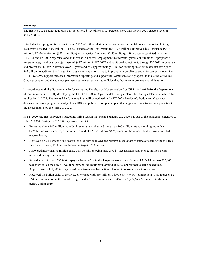#### *Summary*

The IRS FY 2022 budget request is \$13.16 billion, \$1.24 billion (10.4 percent) more than the FY 2021 enacted level of \$11.92 billion.

It includes total program increases totaling \$915.46 million that includes resources for the following categories: Putting Taxpayers First (\$176.09 million); Ensure Fairness of the Tax System (\$340.27 million), Improve Live Assistance (\$318 million), IT Modernization (\$78.14 million) and Electrical Vehicles (\$2.96 million). It funds costs associated with the FY 2021 and FY 2022 pay raises and an increase in Federal Employment Retirement System contributions. It proposes a program integrity allocation adjustment of \$417 million in FY 2022 and additional adjustments through FY 2031 to generate and protect \$50 billion in revenue over 10 years and cost approximately \$7 billion resulting in an estimated net savings of \$43 billion. In addition, the Budget includes a multi-year initiative to improve tax compliance and enforcement, modernize IRS IT systems, support increased information reporting, and support the Administration's proposal to make the Child Tax Credit expansion and the advance payments permanent as well as additional authority to improve tax administration.

In accordance with the Government Performance and Results Act Modernization Act (GPRAMA) of 2010, the Department of the Treasury is currently developing the FY 2022 –2026 Departmental Strategic Plan. The Strategic Plan is scheduled for publication in 2022. The Annual Performance Plan will be updated in the FY 2023 President's Budget to reflect new departmental strategic goals and objectives. IRS will publish a component plan that aligns bureau activities and priorities to the Department's by the spring of 2022.

In FY 2020, the IRS delivered a successful filing season that opened January 27, 2020 but due to the pandemic, extended to July 15, 2020. During the  $2020$  filing season, the IRS:

- Processed about 145 million individual tax returns and issued more than 100 million refunds totaling more than \$276 billion with an average individual refund of \$2,034. Almost 96.9 percent of these individual returns were filed electronically;
- Achieved a 53.1 percent filing season level of service (LOS), the relative success rate of taxpayers calling the toll-free line for assistance, 11.5 percent below the target of 60 percent;
- Answered more than 35 million calls, with 10 million being answered by IRS assistors and over 25 million being answered through automation;
- Served approximately 537,000 taxpayers face-to-face in the Taxpayer Assistance Centers (TAC). More than 715,000 taxpayers called the IRS's TAC appointment line resulting in around 364,000 appointments being scheduled. Approximately 351,000 taxpayers had their issues resolved without having to make an appointment; and
- Received 1.4billion visits to the IRS.gov website with 469 million *Where's My Refund?* completions. This represents a 164 percent increase in the use of IRS.gov and a 31 percent increase in *Where's My Refund?* compared to the same period during 2019.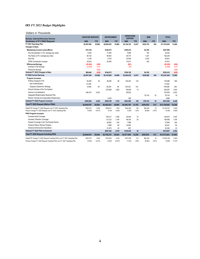# *IRS FY 2022 Budget Highlights*

| Dollars in Thousands                                                         |                          |        |                    |            |                                     |        |            |            |              |        |
|------------------------------------------------------------------------------|--------------------------|--------|--------------------|------------|-------------------------------------|--------|------------|------------|--------------|--------|
| <b>Bureau: Internal Revenue Service</b>                                      | <b>TAXPAYER SERVICES</b> |        | <b>ENFORCEMENT</b> |            | <b>OPERATIONS</b><br><b>SUPPORT</b> |        | <b>BSM</b> |            | <b>TOTAL</b> |        |
| Summary of FY 2022 Request                                                   | \$000                    | FTE    | \$000              | <b>FTE</b> | \$000                               | FTE    | \$000      | <b>FTE</b> | \$000        | FTE    |
| FY 2021 Operating Plan                                                       | \$2.587.606              | 25.989 | \$5.004.622        | 34.989     | \$4.104.102                         | 12.037 | \$222.724  | 394        | \$11.919.054 | 73.409 |
| Changes to Base:                                                             |                          |        |                    |            |                                     |        |            |            |              |        |
| <b>Maintaining Current Levels (MCLs)</b>                                     | \$75,138                 |        | \$148,473          |            | \$100,219                           |        | \$4,165    |            | \$327,995    |        |
| Pay Annualization (1.0% average pay raise)                                   | 5,930                    |        | 11,650             |            | 4.699                               |        | 163        |            | 22,442       |        |
| Pay Raise (2.7% average pay raise)                                           | 48,152                   |        | 94,603             |            | 38,157                              |        | 1.327      |            | 182,239      |        |
| Non-Pav                                                                      | 4.138                    |        | 6.725              |            | 42.546                              |        | 2.232      |            | 55.641       |        |
| <b>FERS Contribution Increase</b>                                            | 16,918                   |        | 35.495             |            | 14,817                              |        | 443        |            | 67.673       |        |
| <b>Efficiencies/Savings</b>                                                  | ( \$5,494)               | (409)  |                    |            | (S91)                               |        |            |            | ( \$5,585)   | (409)  |
| Increase e-File Savings                                                      | (5, 494)                 | (101)  |                    |            | (91)                                |        |            |            | (5,585)      | (101)  |
| Personnel Savings                                                            |                          | (308)  |                    |            |                                     |        |            |            |              | (308)  |
| Subtotal FY 2022 Changes to Base                                             | \$69,644                 | (409)  | \$148,473          |            | \$100,128                           |        | \$4,165    |            | \$322,410    | (409)  |
| FY 2022 Current Services                                                     | \$2,657,250              | 25,580 | \$5,153,095        | 34,989     | \$4,204,230                         | 12,037 | \$226,889  | 394        | \$12,241,464 | 73,000 |
| Program Increases:                                                           |                          |        |                    |            |                                     |        |            |            |              |        |
| Putting Taxpayers First                                                      | 35,459                   | 55     | 36,294             | 96         | 104,333                             | 143    |            |            | 176,086      | 294    |
| <b>User Authentication</b>                                                   | 27,000                   |        |                    |            |                                     |        |            |            | 27,000       |        |
| Taxpayer Experience Strategy                                                 | 8,459                    | 55     | 36,294             | 96         | 104,333                             | 143    |            |            | 149,086      | 294    |
| Ensure Fairness of the Tax System                                            |                          |        | 270,858            | 1.820      | 69,409                              | 13     |            |            | 340,267      | 1,833  |
| Improve Live Assistance                                                      | 248,167                  | 4,203  |                    |            | 69,833                              |        |            |            | 318,000      | 4,203  |
| Integrated Modernization Business Plan                                       |                          |        |                    |            |                                     |        | 78.143     | 18         | 78.143       | 18     |
| Electric Vehicles and Associated Infrastructure                              |                          |        | 2,576              |            | 390                                 |        |            |            | 2.966        |        |
| Subtotal FY 2022 Program Increases                                           | \$283.626                | 4,258  | \$309,728          | 1,916      | \$243,965                           | 156    | \$78,143   | 18         | \$915,462    | 6,348  |
| Total FY 2022 Request (Before PIAA)                                          | \$2,940,876              | 29,838 | \$5,462,823        | 36,905     | \$4,448,195                         | 12,193 | \$305,032  | 412        | \$13,156,926 | 79,348 |
| Dollar/FTE Change FY 2022 Request over FY 2021 Operating Plan                | \$353,270                | 3,849  | \$458,201          | 1,916      | \$344,093                           | 156    | \$82,308   | 18         | \$1,237,872  | 5,939  |
| Percent Change FY 2022 Request over FY 2021 Operating Plan                   | 13.65%                   | 14.81% | 9.16%              | 5.48%      | 8.38%                               | 1.30%  | 36.96%     | 4.57%      | 10.39%       | 8.09%  |
| <b>PIAA Program Increases</b>                                                |                          |        |                    |            |                                     |        |            |            |              |        |
| Increase Audit Coverage                                                      |                          |        | 109,317            | 1.028      | 39,493                              | 15     |            |            | 148,810      | 1.043  |
| Increase Collection Coverage                                                 |                          |        | 113,122            | 1.164      | 46,334                              | 20     |            |            | 159,456      | 1.184  |
| Expand Coverage in the Tax-Exempt Sector                                     |                          |        | 29.952             | 244        | 7,998                               |        |            |            | 37,950       | 244    |
| Enhance Return Review Program                                                |                          |        | 3,388              | 60         | 34,953                              |        |            |            | 38,341       | 60     |
| <b>Enhance Enforcement Operations</b>                                        |                          |        | 31.673             | 23         | 667                                 |        |            |            | 32.340       | 23     |
| Subtotal FY 2022 PIAA Investments                                            |                          |        | \$287,452          | 2,519      | \$129,445                           | 35     |            |            | \$416,897    | 2,554  |
| <b>Total FY 2022 Request Including PIAA</b>                                  | \$2.940.876              | 29,838 | \$5,750,275        | 39,424     | \$4,577,640                         | 12,228 | \$305,032  | 412        | \$13,573,823 | 81,902 |
| Dollar/FTE Change FY 2022 Request Including PIAA over FY 2021 Operating Plan | \$353,270                | 3.849  | \$745,653          | 4,435      | \$473,538                           | 191    | \$82,308   | 18         | \$1,654,769  | 8.493  |
| Percent Change FY 2022 Request Including PIAA over FY 2021 Operating Plan    | 13.65%                   | 14.81% | 14.90%             | 12.67%     | 11.54%                              | 1.59%  | 36.96%     | 4.57%      | 13.88%       | 11.57% |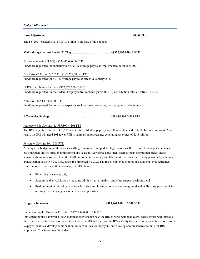**Base Adjustment………………………………………………………………………….. \$0 / 0 FTE**

The FY 2021 enacted level of \$11.9 billion is the base of this budget.

## **Maintaining Current Levels (MCLs)…………………………….……+\$327,995,000 / 0 FTE**

Pay Annualization (1.0%) +\$22,442,000 / 0 FTE

Funds are requested for annualization of a 1% average pay raise implemented in January 2021.

#### Pay Raise (2.7% in FY 2022) +\$182,239,000 / 0 FTE

Funds are requested for a 2.7% average pay raise effective January 2022.

FERS Contribution Increase +\$67,673,000 / 0 FTE Funds are requested for the Federal Employee Retirement System (FERS) contribution rates effective FY 2022.

Non-Pay +\$55,641,000 / 0 FTE Funds are requested for non-labor expenses such as travel, contracts, rent, supplies, and equipment.

## **Efficiencies/Savings……………………………...……….……………. -\$5,585,300 / -409 FTE**

#### Increase e-File Savings -\$5,585,300 / -101 FTE

The IRS projects a total of 1,426,500 fewer returns filed on paper (752,200 individual and 674,300 business returns). As a result, the IRS will need 101 fewer FTE in submission processing, generating a savings of \$5.6 million.

#### Personnel Savings \$0 / -308 FTE

Although the budget request increases staffing resources to support strategic priorities, the IRS must manage its personnel costs through limited attrition replacement and seasonal workforce adjustments across many operational areas. These adjustments are necessary to fund the \$328 million in inflationary and labor cost increases for existing personnel, including annualization of the FY 2021 pay raise, the proposed FY 2022 pay raise, employee promotions, and employee retirement contributions. To achieve these savings, the IRS plans to:

- Fill critical vacancies only;
- Streamline the workforce by reducing administrative, analyst, and other support positions; and
- Realign mission critical occupations by hiring employees who have the background and skills to support the IRS in meeting its strategic goals, objectives, and priorities.

## **Program Increases………………………….……….…………... +\$915,462,000 / +6,348 FTE**

## Implementing the Taxpayer First Act +\$176,086,000 / +294 FTE

Implementing the Taxpayer First Act dramatically change how the IRS engages with taxpayers. These efforts will improve the experience of taxpayers as they interact with the IRS and increase the IRS's ability to secure taxpayer information, protect taxpayer identities, develop additional online capabilities for taxpayers, and develop comprehensive training for IRS employees. This investment includes: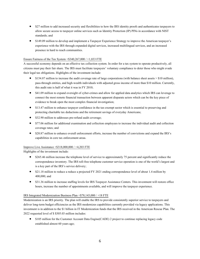- \$27 million to add increased security and flexibilities to how the IRS identity proofs and authenticates taxpayers to allow secure access to taxpayer online services such as Identity Protection (IP) PINs in accordance with NIST standards; and
- \$149.09 million to develop and implement a Taxpayer Experience Strategy to improve the American taxpayer's experience with the IRS through expanded digital services, increased multilingual services, and an increased presence in hard to reach communities.

## Ensure Fairness of the Tax System  $+$ \$340,267,000 /  $+$ 1,833 FTE

A successful economy depends on an effective tax collection system. In order for a tax system to operate productively, all citizens must pay their fair share. The IRS must facilitate taxpayers' voluntary compliance to deter those who might evade their legal tax obligations. Highlights of the investment include:

- \$154.87 million to increase the audit coverage rate of large corporations (with balance sheet assets > \$10 million), pass-through entities, and high-wealth individuals with adjusted gross income of more than \$10 million. Currently, this audit rate is half of what it was in FY 2010;
- \$41.09 million to expand oversight of cyber-crimes and allow for applied data analytics which IRS can leverage to connect the most remote financial transaction between apparent disparate actors which can be the key piece of evidence to break open the most complex financial investigation;
- \$13.47 million to enhance taxpayer confidence in the tax-exempt sector which is essential to preserving and protecting charitable tax deductions and the retirement savings of everyday Americans;
- \$32.90 million to addresses pre-refund audit coverage;
- \$77.06 million for additional examination and collection employees to increase the individual audit and collection coverage rates; and
- \$20.87 million to enhance overall enforcement efforts, increase the number of convictions and expand the IRS's capabilities in core tax enforcement areas.

## Improve Live Assistance +\$318,000,000 / +4,203 FTE

Highlights of the investment include:

- \$265.46 million increase the telephone level of service to approximately 75 percent and significantly reduce the correspondence inventory. The IRS toll-free telephone customer service operation is one of the world's largest and is a key part of the IRS's service delivery;
- \$21.18 million to reduce a reduce a projected FY 2021 ending correspondence level of about 1.4 million by 400,000; and
- \$31.36 million to increase staffing levels for IRS Taxpayer Assistance Centers. This investment will restore office hours, increase the number of appointments available, and will improve the taxpayer experience.

#### IRS Integrated Modernization Business Plan +\$78,143,000 / +18 FTE

Modernization is an IRS priority. The plan will enable the IRS to provide consistently superior service to taxpayers and deliver long-term budget efficiencies as the IRS modernizes capabilities currently provided via legacy applications. This investment is in addition to the \$1 billion in IT Modernization funds that the IRS received in the American Rescue Plan. The 2022 requested level of \$ \$305.03 million includes:

• \$105 million for the Customer Account Data Engine(CADE) 2 project to continue replacing legacy code established almost 60 years ago;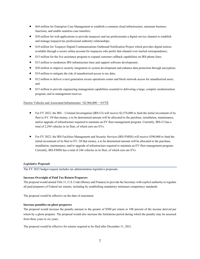- \$64 million for Enterprise Case Management to establish a common cloud infrastructure, automate business functions, and enable seamless case transfers;
- \$30 million for web applications to provide taxpayers and tax professionals a digital service channel to establish and manage taxpayer/tax professional authority relationships;
- \$10 million for Taxpayer Digital Communications Outbound Notification Project which provides digital notices available through a secure online account for taxpayers who prefer that channel over mailed correspondence;
- \$15 million for the live assistance program to expand customer callback capabilities on IRS phone lines;
- \$15 million to modernize IRS infrastructure base and support software development;
- \$20 million to improve security integration in system development and enhance data protection through encryption;
- \$19 million to mitigate the risk of unauthorized access to tax data;
- \$12 million to deliver a next generation secure operations center and block network access for unauthorized users; and
- \$15 million to provide engineering management capabilities essential to delivering a large, complex modernization program, and in management reserves.

#### Electric Vehicles and Associated Infrastructure +\$2,966,000 / +0 FTE

- For FY 2022, the IRS Criminal Investigation (IRS-CI) will receive \$2,576,000 to fund the initial investment of its fleet to EV. Of that money, a to be determined amount will be allocated to the purchase, installation, maintenance, and/or upgrade of infrastructure required to maintain an EV fleet management program. Currently, IRS-CI has a total of 2,294 vehicles in its fleet, of which zero are EVs.
- For FY 2022, the IRS Facilities Management and Security Services (IRS-FMSS) will receive \$390,000 to fund the initial investment of its fleet to EV. Of that money, a to be determined amount will be allocated to the purchase, installation, maintenance, and/or upgrade of infrastructure required to maintain an EV fleet management program. Currently, IRS-FMSS has a total of 246 vehicles in its fleet, of which zero are EVs.

#### *Legislative Proposals*

The FY 2022 budget request includes tax administration legislative proposals.

#### **Increase Oversight of Paid Tax Return Preparers**

The proposal would amend Title 31, U.S. Code (Money and Finance) to provide the Secretary with explicit authority to regulate all paid preparers of Federal tax returns, including by establishing mandatory minimum competency standards.

The proposal would be effective on the date of enactment.

## **Increase penalties on ghost preparers**

The proposal would increase the penalty amount to the greater of \$500 per return or 100 percent of the income derived per return by a ghost preparer. The proposal would also increase the limitations period during which the penalty may be assessed from three years to six years.

The proposal would be effective for returns required to be filed after December 31, 2021.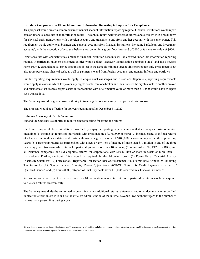#### **Introduce Comprehensive Financial Account Information Reporting to Improve Tax Compliance**

This proposal would create a comprehensive financial account information reporting regime. Financial institutions would report data on financial accounts in aninformation return. The annual return will report gross inflows and outflows with a breakdown for physical cash, transactions with a foreign account, and transfers to and from another account with the same owner. This requirement would apply to all business and personal accounts from financial institutions, including bank, loan, and investment accounts<sup>1</sup>, with the exception of accounts below a low de minimis gross flow threshold of \$600 or fair market value of \$600.

Other accounts with characteristics similar to financial institution accounts will be covered under this information reporting regime. In particular, payment settlement entities would collect Taxpayer Identification Numbers (TINs) and file a revised Form 1099-K expanded to all payee accounts (subject to the same de minimis threshold), reporting not only gross receipts but also gross purchases, physical cash, as well as payments to and from foreign accounts, and transfer inflows and outflows.

Similar reporting requirements would apply to crypto asset exchanges and custodians. Separately, reporting requirements would apply in cases in which taxpayers buy crypto assets from one broker and then transfer the crypto assets to another broker, and businesses that receive crypto assets in transactions with a fair market value of more than \$10,000 would have to report such transactions.

The Secretary would be given broad authority to issue regulations necessary to implement this proposal.

The proposal would be effective for tax years beginning after December 31, 2022.

#### **Enhance Accuracy of Tax Information**

#### Expand the Secretary's authority to require electronic filing for forms and returns

Electronic filing would be required for returns filed by taxpayers reporting larger amounts or that are complex business entities, including: (1) income tax returns of individuals with gross income of \$400,000 or more; (2) income, estate, or gift tax returns of all related individuals, estates, and trusts with assets or gross income of \$400,000 or more in any of the three preceding years; (3) partnership returns for partnerships with assets or any item of income of more than \$10 million in any of the three preceding years; (4) partnership returns for partnerships with more than 10 partners; (5) returns of REITs, REMICs, RICs, and all insurance companies; and (6) corporate returns for corporations with \$10 million or more in assets or more than 10 shareholders. Further, electronic filing would be required for the following forms: (1) Forms 8918, "Material Advisor Disclosure Statement"; (2) Forms 8886, "Reportable Transaction Disclosure Statement"; (3) Forms 1042, "Annual Withholding Tax Return for U.S. Source Income of Foreign Persons"; (4) Forms 8038-CP, "Return for Credit Payments to Issuers of Qualified Bonds"; and (5) Forms 8300, "Report of Cash Payments Over \$10,000 Received in a Trade or Business."

Return preparers that expect to prepare more than 10 corporation income tax returns or partnership returns would be required to file such returns electronically.

The Secretary would also be authorized to determine which additional returns, statements, and other documents must be filed in electronic form in order to ensure the efficient administration of the internal revenue laws without regard to the number of returns that a person files during a year.

<sup>&</sup>lt;sup>1</sup>Current income reporting by financial institutions would be expanded to all entities, including certain corporations. Interest payments would be included in the loan account reporting. Transferee information would be reported for all real estate transactions on Form 1099-S.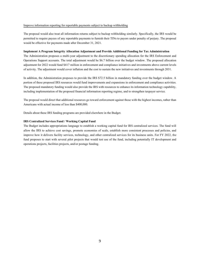#### Improve information reporting for reportable payments subject to backup withholding

The proposal would also treat all information returns subject to backup withholding similarly. Specifically, the IRS would be permitted to require payees of any reportable payments to furnish their TINs to payors under penalty of perjury. The proposal would be effective for payments made after December 31, 2021.

#### **Implement A Program Integrity Allocation Adjustment and Provide Additional Fundingfor Tax Administration**

The Administration proposes a multi-year adjustment to the discretionary spending allocation for the IRS Enforcement and Operations Support accounts. The total adjustment would be \$6.7 billion over the budget window. The proposed allocation adjustment for 2022 would fund \$417 million in enforcement and compliance initiatives and investments above current levels of activity. The adjustment would cover inflation and the cost to sustain the new initiatives and investments through 2031.

In addition, the Administration proposes to provide the IRS \$72.5 billion in mandatory funding over the budget window. A portion of these proposed IRS resources would fund improvements and expansions in enforcement and compliance activities. The proposed mandatory funding would also provide the IRS with resources to enhance its information technology capability, including implementation of the proposed financial information reporting regime, and to strengthen taxpayer service.

The proposal would direct that additional resources go toward enforcement against those with the highest incomes, rather than Americans with actual income of less than \$400,000.

Details about these IRS funding programs are provided elsewhere in the Budget.

## **IRS Centralized Services Fund / Working Capital Fund**

The Budget includes appropriations language to establish a working capital fund for IRS centralized services. The fund will allow the IRS to achieve cost savings, promote economies of scale, establish more consistent processes and policies, and improve how it delivers facility services, technology, and other centralized services for its business units. For FY 2022, the fund proposes to start with several pilot projects that would test use of the fund, including potentially IT development and operations projects, facilities projects, and/or postage funding.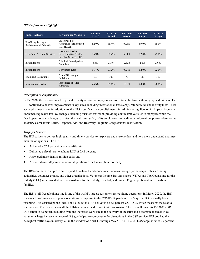## *IRS Performance Highlights*

| <b>Budget Activity</b>                          | <b>Performance Measures</b>                                               | <b>FY 2018</b><br><b>Actual</b> | <b>FY 2019</b><br>Actual | FY 2020<br><b>Actual</b> | FY 2021<br>Target | FY 2022<br><b>Target</b> |
|-------------------------------------------------|---------------------------------------------------------------------------|---------------------------------|--------------------------|--------------------------|-------------------|--------------------------|
| Pre-Filing Taxpayer<br>Assistance and Education | Enterprise Self-<br><b>Assistance Participation</b><br>Rate (ESAPR)       | 82.0%                           | 85.4%                    | 90.6%                    | 89.0%             | 89.0%                    |
| Filing and Account Services                     | <b>Customer Service</b><br>Representative (CSR)<br>Level of Service (LOS) | 75.9%                           | 65.4%                    | 53.1%                    | 32.0%             | 75.0%                    |
| Investigations                                  | Criminal Investigations<br>Completed                                      | 3,051                           | 2.797                    | 2.624                    | 2.600             | 2.600                    |
| Investigations                                  | <b>Conviction Rate</b>                                                    | 91.7%                           | 91.2%                    | 90.4%                    | 92.0%             | 92.0%                    |
| <b>Exam and Collections</b>                     | Exam Efficiency -<br>Individual                                           | 131                             | 109                      | 76                       | 111               | 117                      |
| <b>Information Services</b>                     | Percentage of Aged<br>Hardware                                            | 45.5%                           | 31.0%                    | 16.0%                    | 20.0%             | 20.0%                    |

## *Description of Performance*

In FY 2020, the IRS continued to provide quality service to taxpayers and to enforce the laws with integrity and fairness. The IRS continued to deliver improvements in key areas, including international, tax exempt, refund fraud, and identity theft. These accomplishments are in addition to the IRS significant accomplishments in administering Economic Impact Payments, implementing major tax law changes including business tax relief, providing administrative relief to taxpayers while the IRS faced operational challenges to protect the health and safety of its employees. For additional information, please reference the Treasury Coronavirus Relief, Response, Aid, and Recovery Programs Congressional Justification.

## *Taxpayer Services*

The IRS strives to deliver high quality and timely service to taxpayers and stakeholders and help them understand and meet their tax obligations. The IRS:

- Achieved a 67.4 percent business e-file rate;
- Delivered a fiscal year telephone LOS of 53.1 percent;
- Answered more than 35 million calls; and
- Answered over 90 percent of account questions over the telephone correctly.

The IRS continues to improve and expand its outreach and educational services through partnerships with state taxing authorities, volunteer groups, and other organizations. Volunteer Income Tax Assistance (VITA) and Tax Counseling for the Elderly (TCE) sites provided free tax assistance for the elderly, disabled, and limited English proficient individuals and families.

The IRS's toll-free telephone line is one of the world's largest customer service phone operations. In March 2020, the IRS suspended customer service phone operations in response to the COVID-19 pandemic. In May, the IRS gradually began resuming CSR-assisted phone lines. For FY 2020, the IRS delivered a 53.1 percent CSR LOS, which measures the relative success rate of taxpayers who call the toll-free number and connect with an assistor. The IRS will lower its FY 2021 CSR LOS target to 32 percent resulting from the increased work due to the delivery of the EIPs and a dramatic increase in call volume. A large increase in usage of IRS.gov helped to compensate for disruptions in the CSR service. IRS.gov had the 22highest traffic days in history, all in the window of April 13 through May 5. The FY 2022 LOS target is set at 75 percent.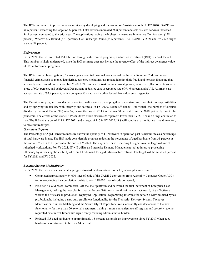The IRS continues to improve taxpayer services by developing and improving self-assistance tools. In FY 2020 ESAPR was 90.6 percent, exceeding the target of 82 percent. Total services increased 26.8 percent and self-assisted services increased 34.5 percent compared to the prior year. The applications having the highest increases are Interactive Tax Assistant (128 percent), Where's My Refund (37.1 percent), Get Transcript Online (74.6 percent). The ESAPR FY 2021 and FY 2022 target is set at 89 percent.

## *Enforcement*

In FY 2020, the IRS collected \$51.1billion through enforcement programs, a return on investment (ROI) of about \$5to \$1. This number is likely understated, since the ROI estimate does not include the revenue effect of the indirect deterrence value of IRS enforcement programs.

The IRS Criminal Investigation (CI) investigates potential criminal violations of the Internal Revenue Code and related financial crimes, such as money laundering, currency violations, tax-related identity theft fraud, and terrorist financing that adversely affect tax administration. In FY 2020 CI completed 2,624 criminal investigations, achieved 1,187 convictions with a rate of 90.4 percent, and achieved a Department of Justice case acceptance rate of 91.6 percent and a U.S. Attorney case acceptance rate of 92.4 percent, which compares favorably with other federal law enforcement agencies.

The Examination program provides taxpayers top quality service by helping them understand and meet their tax responsibilities and by applying the tax law with integrity and fairness. In FY 2020, Exam Efficiency - Individual (the number of closures divided by the total Exam FTE) was 76, below the target of 115 and down 30 percent from FY 2019, primarily due to the pandemic. The effects of the COVID-19 shutdown drove closures 24.9 percent lower than FY 2019 while filings continued to rise. The IRS set a target of 111 in FY 2021 and a target of 117 in FY 2022. IRS will continue to monitor starts and inventory to meet future targets.

#### *Operations Support*

The Percentage of Aged Hardware measure shows the quantity of IT hardware in operation past its useful life as a percentage of total hardware in use. The IRS made considerable progress reducing the percentage of aged hardware from 31 percent at the end of FY 2019 to 16 percent at the end of FY 2020. The major driver in exceeding this goal was the large volume of refreshed workstations. For FY 2021, IT will utilize an Enterprise Demand Management tool to improve processing efficiency by increasing the visibility of overall IT demand for aged infrastructure refresh. The target will be set at 20 percent for FY 2021 and FY 2022.

#### *Business Systems Modernization*

In FY 2020, the IRS made considerable progress toward modernization. Some key accomplishments were:

- Completed approximately 64,000 lines of code of the CADE 2 conversion from Assembly Language Code (ALC) to Java—bringing the completion to-date to over 128,000 lines of code converted;
- Procured a cloud based, commercial-off-the-shelf platform and delivered the first increment of Enterprise Case Management, making the new platform ready for use. Within six months of the contract award, IRS effectively worked the first case in production. Deployed Application Programming Interface for certain e-Services used by tax professionals, including a new auto enrollment functionality for the Transcript Delivery System, Taxpayer Identification Number Matching and the Secure Object Repository. We successfully enabled access to the new functionality for more than 50 external customers, making it more convenient to self-register and securely receive requested data in real-time while significantly reducing administrative burden;
- Reduced IRS aged hardware to approximately 16 percent, a significant improvement since FY 2017 when aged hardware was estimated to be over 64 percent;